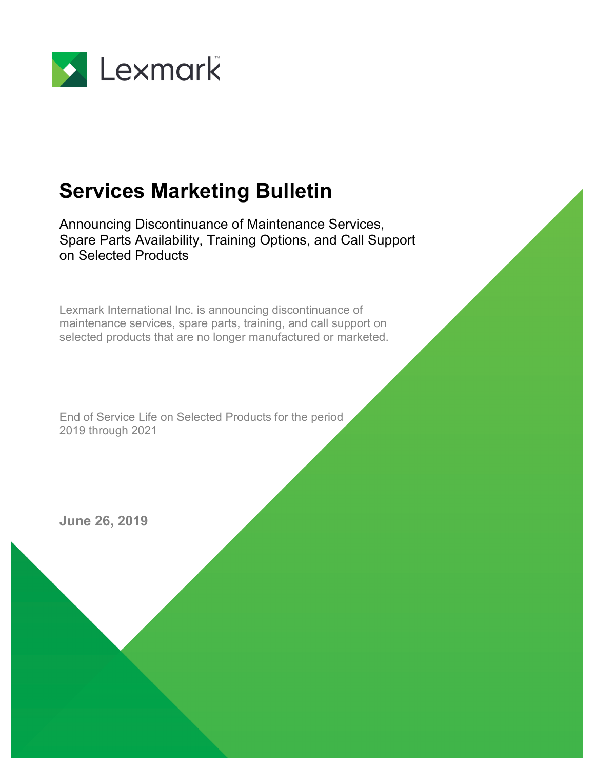

# **Services Marketing Bulletin**

Announcing Discontinuance of Maintenance Services, Spare Parts Availability, Training Options, and Call Support on Selected Products

Lexmark International Inc. is announcing discontinuance of maintenance services, spare parts, training, and call support on selected products that are no longer manufactured or marketed.

End of Service Life on Selected Products for the period 2019 through 2021

**June 26, 2019**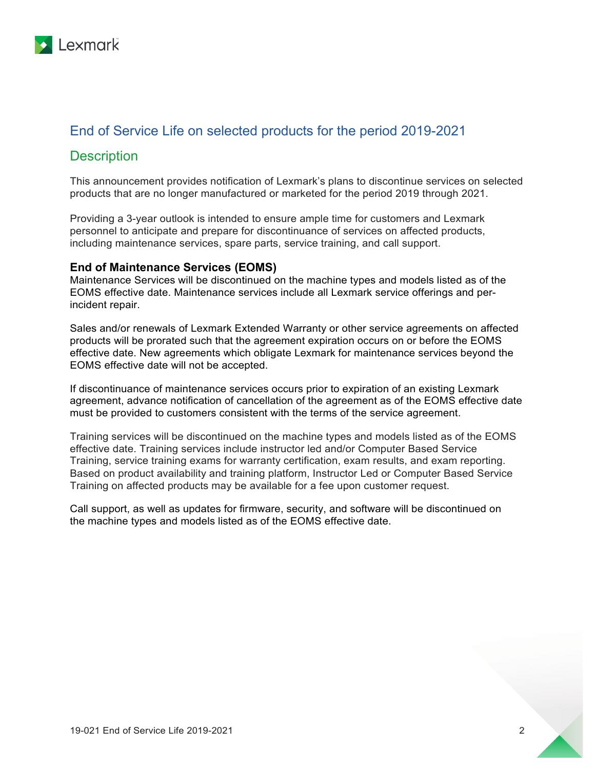

# End of Service Life on selected products for the period 2019-2021

## **Description**

This announcement provides notification of Lexmark's plans to discontinue services on selected products that are no longer manufactured or marketed for the period 2019 through 2021.

Providing a 3-year outlook is intended to ensure ample time for customers and Lexmark personnel to anticipate and prepare for discontinuance of services on affected products, including maintenance services, spare parts, service training, and call support.

#### **End of Maintenance Services (EOMS)**

Maintenance Services will be discontinued on the machine types and models listed as of the EOMS effective date. Maintenance services include all Lexmark service offerings and perincident repair.

Sales and/or renewals of Lexmark Extended Warranty or other service agreements on affected products will be prorated such that the agreement expiration occurs on or before the EOMS effective date. New agreements which obligate Lexmark for maintenance services beyond the EOMS effective date will not be accepted.

If discontinuance of maintenance services occurs prior to expiration of an existing Lexmark agreement, advance notification of cancellation of the agreement as of the EOMS effective date must be provided to customers consistent with the terms of the service agreement.

Training services will be discontinued on the machine types and models listed as of the EOMS effective date. Training services include instructor led and/or Computer Based Service Training, service training exams for warranty certification, exam results, and exam reporting. Based on product availability and training platform, Instructor Led or Computer Based Service Training on affected products may be available for a fee upon customer request.

Call support, as well as updates for firmware, security, and software will be discontinued on the machine types and models listed as of the EOMS effective date.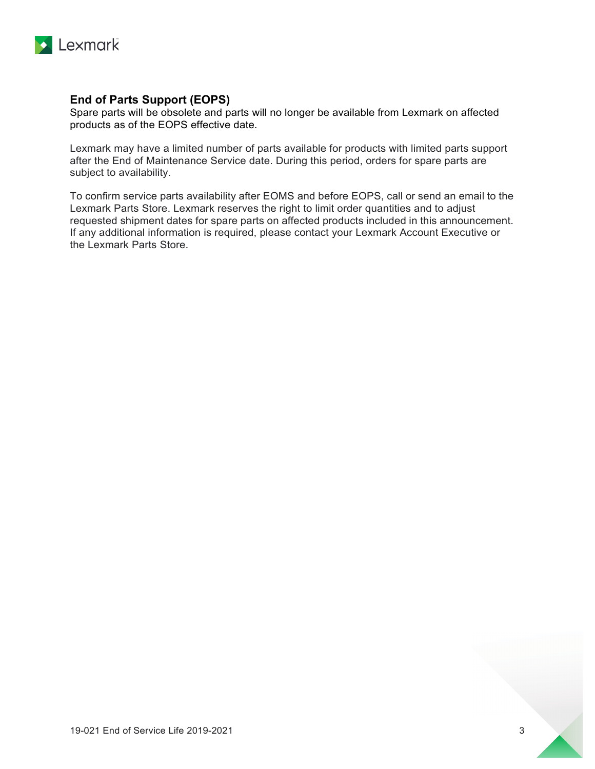

## **End of Parts Support (EOPS)**

Spare parts will be obsolete and parts will no longer be available from Lexmark on affected products as of the EOPS effective date.

Lexmark may have a limited number of parts available for products with limited parts support after the End of Maintenance Service date. During this period, orders for spare parts are subject to availability.

To confirm service parts availability after EOMS and before EOPS, call or send an email to the Lexmark Parts Store. Lexmark reserves the right to limit order quantities and to adjust requested shipment dates for spare parts on affected products included in this announcement. If any additional information is required, please contact your Lexmark Account Executive or the Lexmark Parts Store.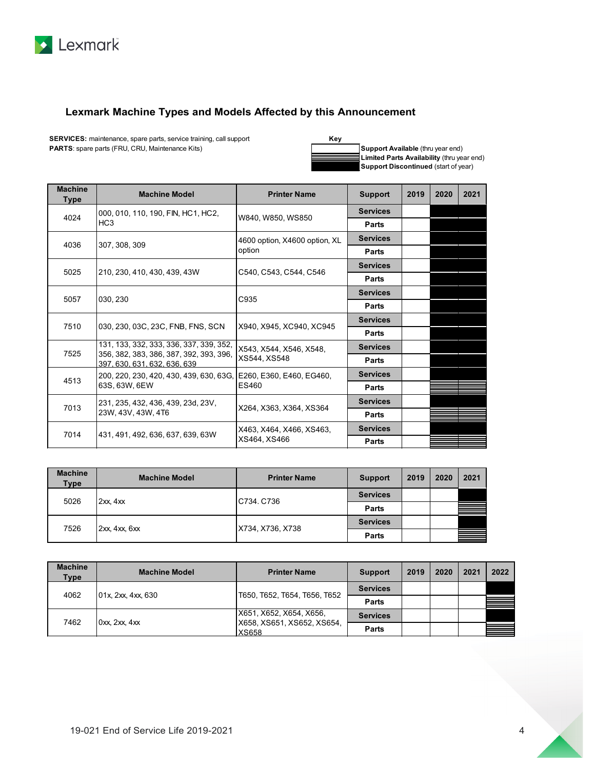

### **Lexmark Machine Types and Models Affected by this Announcement**

**PARTS**: spare parts (FRU, CRU, Maintenance Kits) **SERVICES:** maintenance, spare parts, service training, call support



**Support Available** (thru year end) **Limited Parts Availability** (thru year end) **Support Discontinued** (start of year)

| <b>Machine</b><br><b>Type</b> | <b>Machine Model</b>                                                                          | <b>Printer Name</b>                     | <b>Support</b>  | 2019 | 2020 | 2021 |
|-------------------------------|-----------------------------------------------------------------------------------------------|-----------------------------------------|-----------------|------|------|------|
| 4024                          | 000, 010, 110, 190, FIN, HC1, HC2,                                                            | W840, W850, WS850                       | <b>Services</b> |      |      |      |
|                               | HC <sub>3</sub>                                                                               |                                         | <b>Parts</b>    |      |      |      |
| 4036                          | 307, 308, 309                                                                                 | 4600 option, X4600 option, XL<br>option | <b>Services</b> |      |      |      |
|                               |                                                                                               |                                         | Parts           |      |      |      |
| 5025                          | 210, 230, 410, 430, 439, 43W                                                                  | C540, C543, C544, C546                  | <b>Services</b> |      |      |      |
|                               |                                                                                               |                                         | Parts           |      |      |      |
| 5057                          | 030, 230                                                                                      | C935                                    | <b>Services</b> |      |      |      |
|                               |                                                                                               |                                         | Parts           |      |      |      |
| 7510                          | 030, 230, 03C, 23C, FNB, FNS, SCN                                                             | X940, X945, XC940, XC945                | <b>Services</b> |      |      |      |
|                               |                                                                                               |                                         | Parts           |      |      |      |
| 7525                          | 131, 133, 332, 333, 336, 337, 339, 352,<br>356, 382, 383, 386, 387, 392, 393, 396,            | X543, X544, X546, X548,                 | <b>Services</b> |      |      |      |
|                               | 397, 630, 631, 632, 636, 639                                                                  | XS544, XS548                            | Parts           |      |      |      |
| 4513                          | 200, 220, 230, 420, 430, 439, 630, 63G,<br>E260. E360. E460. EG460.<br>63S, 63W, 6EW<br>ES460 |                                         | <b>Services</b> |      |      |      |
|                               |                                                                                               |                                         | Parts           |      |      |      |
| 7013                          | 231, 235, 432, 436, 439, 23d, 23V,                                                            | X264, X363, X364, XS364                 | <b>Services</b> |      |      |      |
|                               | 23W, 43V, 43W, 4T6                                                                            |                                         | Parts           |      |      |      |
| 7014                          | 431, 491, 492, 636, 637, 639, 63W                                                             | X463, X464, X466, XS463,                | <b>Services</b> |      |      |      |
|                               |                                                                                               | XS464, XS466                            | <b>Parts</b>    |      |      |      |

| <b>Machine</b><br><b>Type</b> | <b>Machine Model</b> | <b>Printer Name</b> | <b>Support</b>  | 2019 | 2020 | 2021 |
|-------------------------------|----------------------|---------------------|-----------------|------|------|------|
| 5026                          | 2xx, 4xx             | C734, C736          | <b>Services</b> |      |      |      |
|                               |                      |                     | Parts           |      |      |      |
| 7526                          |                      | X734, X736, X738    | <b>Services</b> |      |      |      |
|                               | 2xx, 4xx, 6xx        |                     | Parts           |      |      |      |

| <b>Machine</b><br>Type | <b>Machine Model</b>           | <b>Printer Name</b>                                            | <b>Support</b>  | 2019 | 2020 | 2021 | 2022 |
|------------------------|--------------------------------|----------------------------------------------------------------|-----------------|------|------|------|------|
| 4062                   | $101x$ , $2xx$ , $4xx$ , $630$ | T650, T652, T654, T656, T652                                   | <b>Services</b> |      |      |      |      |
|                        |                                |                                                                | Parts           |      |      |      |      |
| 7462                   | Oxx, 2xx, 4xx                  | X651, X652, X654, X656,<br>X658, XS651, XS652, XS654,<br>XS658 | <b>Services</b> |      |      |      |      |
|                        |                                |                                                                | Parts           |      |      |      |      |